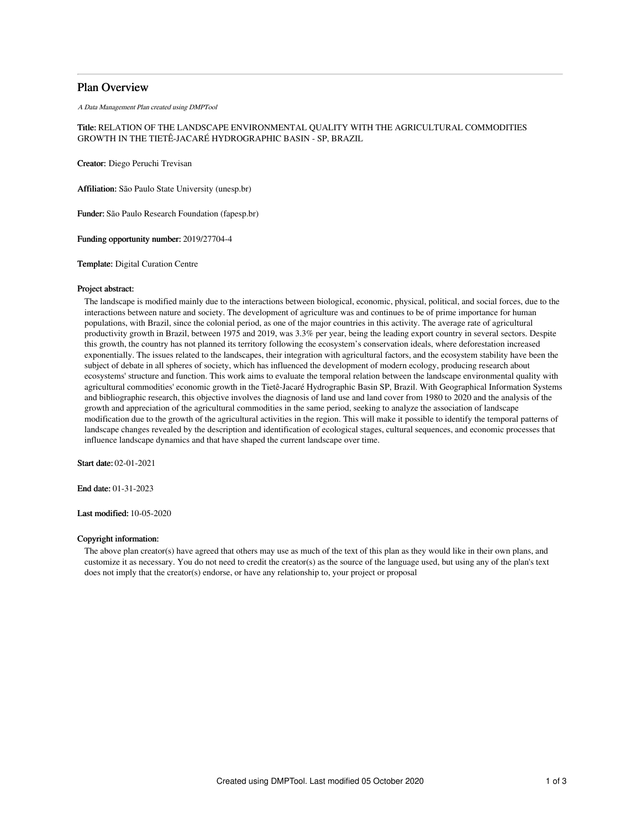# Plan Overview

A Data Management Plan created using DMPTool

# Title: RELATION OF THE LANDSCAPE ENVIRONMENTAL QUALITY WITH THE AGRICULTURAL COMMODITIES GROWTH IN THE TIETÊ-JACARÉ HYDROGRAPHIC BASIN - SP, BRAZIL

Creator: Diego Peruchi Trevisan

Affiliation: São Paulo State University (unesp.br)

Funder: São Paulo Research Foundation (fapesp.br)

Funding opportunity number: 2019/27704-4

Template: Digital Curation Centre

## Project abstract:

The landscape is modified mainly due to the interactions between biological, economic, physical, political, and social forces, due to the interactions between nature and society. The development of agriculture was and continues to be of prime importance for human populations, with Brazil, since the colonial period, as one of the major countries in this activity. The average rate of agricultural productivity growth in Brazil, between 1975 and 2019, was 3.3% per year, being the leading export country in several sectors. Despite this growth, the country has not planned its territory following the ecosystem's conservation ideals, where deforestation increased exponentially. The issues related to the landscapes, their integration with agricultural factors, and the ecosystem stability have been the subject of debate in all spheres of society, which has influenced the development of modern ecology, producing research about ecosystems' structure and function. This work aims to evaluate the temporal relation between the landscape environmental quality with agricultural commodities' economic growth in the Tietê-Jacaré Hydrographic Basin SP, Brazil. With Geographical Information Systems and bibliographic research, this objective involves the diagnosis of land use and land cover from 1980 to 2020 and the analysis of the growth and appreciation of the agricultural commodities in the same period, seeking to analyze the association of landscape modification due to the growth of the agricultural activities in the region. This will make it possible to identify the temporal patterns of landscape changes revealed by the description and identification of ecological stages, cultural sequences, and economic processes that influence landscape dynamics and that have shaped the current landscape over time.

Start date: 02-01-2021

End date: 01-31-2023

Last modified: 10-05-2020

# Copyright information:

The above plan creator(s) have agreed that others may use as much of the text of this plan as they would like in their own plans, and customize it as necessary. You do not need to credit the creator(s) as the source of the language used, but using any of the plan's text does not imply that the creator(s) endorse, or have any relationship to, your project or proposal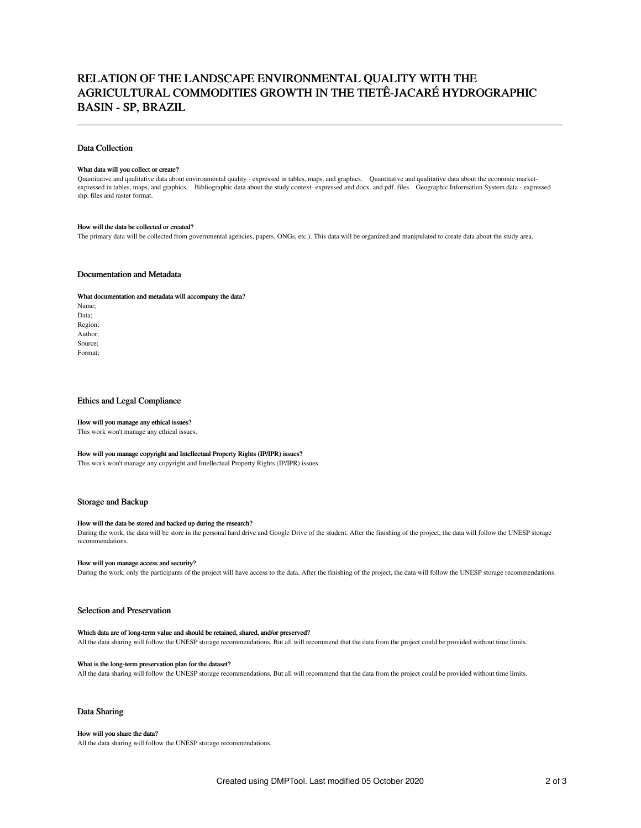# RELATION OF THE LANDSCAPE ENVIRONMENTAL QUALITY WITH THE AGRICULTURAL COMMODITIES GROWTH IN THE TIETÊ-JACARÉ HYDROGRAPHIC BASIN - SP, BRAZIL

### Data Collection

#### What data will you collect or create?

Quantitative and qualitative data about environmental quality - expressed in tables, maps, and graphics. Quantitative and qualitative data about the economic marketexpressed in tables, maps, and graphics. Bibliographic data about the study context- expressed and docx. and pdf. files Geographic Information System data - expressed shp. files and raster format.

### How will the data be collected or created?

The primary data will be collected from governmental agencies, papers, ONGs, etc.). This data will be organized and manipulated to create data about the study area.

# Documentation and Metadata

#### What documentation and metadata will accompany the data?

Name; Data; Region; Author; Source; Format;

#### Ethics and Legal Compliance

#### How will you manage any ethical issues?

This work won't manage any ethical issues.

# How will you manage copyright and Intellectual Property Rights (IP/IPR) issues?

This work won't manage any copyright and Intellectual Property Rights (IP/IPR) issues.

#### Storage and Backup

#### How will the data be stored and backed up during the research?

During the work, the data will be store in the personal hard drive and Google Drive of the student. After the finishing of the project, the data will follow the UNESP storage recommendations.

### How will you manage access and security?

During the work, only the participants of the project will have access to the data. After the finishing of the project, the data will follow the UNESP storage recommendations.

### Selection and Preservation

### Which data are of long-term value and should be retained, shared, and/or preserved?

All the data sharing will follow the UNESP storage recommendations. But all will recommend that the data from the project could be provided without time limits.

#### What is the long-term preservation plan for the dataset?

All the data sharing will follow the UNESP storage recommendations. But all will recommend that the data from the project could be provided without time limits.

# Data Sharing

#### How will you share the data?

All the data sharing will follow the UNESP storage recommendations.